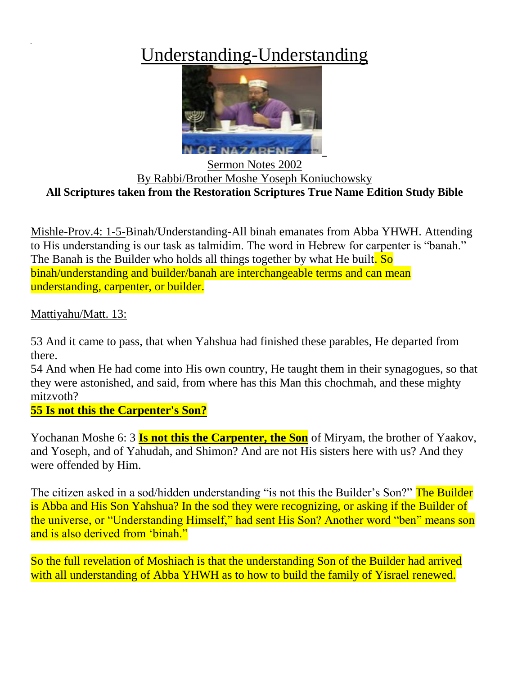## Understanding-Understanding



Sermon Notes 2002 By Rabbi/Brother Moshe Yoseph Koniuchowsky **All Scriptures taken from the Restoration Scriptures True Name Edition Study Bible**

Mishle-Prov.4: 1-5-Binah/Understanding-All binah emanates from Abba YHWH. Attending to His understanding is our task as talmidim. The word in Hebrew for carpenter is "banah." The Banah is the Builder who holds all things together by what He built. So binah/understanding and builder/banah are interchangeable terms and can mean understanding, carpenter, or builder.

Mattiyahu/Matt. 13:

53 And it came to pass, that when Yahshua had finished these parables, He departed from there.

54 And when He had come into His own country, He taught them in their synagogues, so that they were astonished, and said, from where has this Man this chochmah, and these mighty mitzvoth?

**55 Is not this the Carpenter's Son?**

Yochanan Moshe 6: 3 **Is not this the Carpenter, the Son** of Miryam, the brother of Yaakov, and Yoseph, and of Yahudah, and Shimon? And are not His sisters here with us? And they were offended by Him.

The citizen asked in a sod/hidden understanding "is not this the Builder's Son?" The Builder is Abba and His Son Yahshua? In the sod they were recognizing, or asking if the Builder of the universe, or "Understanding Himself," had sent His Son? Another word "ben" means son and is also derived from 'binah."

So the full revelation of Moshiach is that the understanding Son of the Builder had arrived with all understanding of Abba YHWH as to how to build the family of Yisrael renewed.